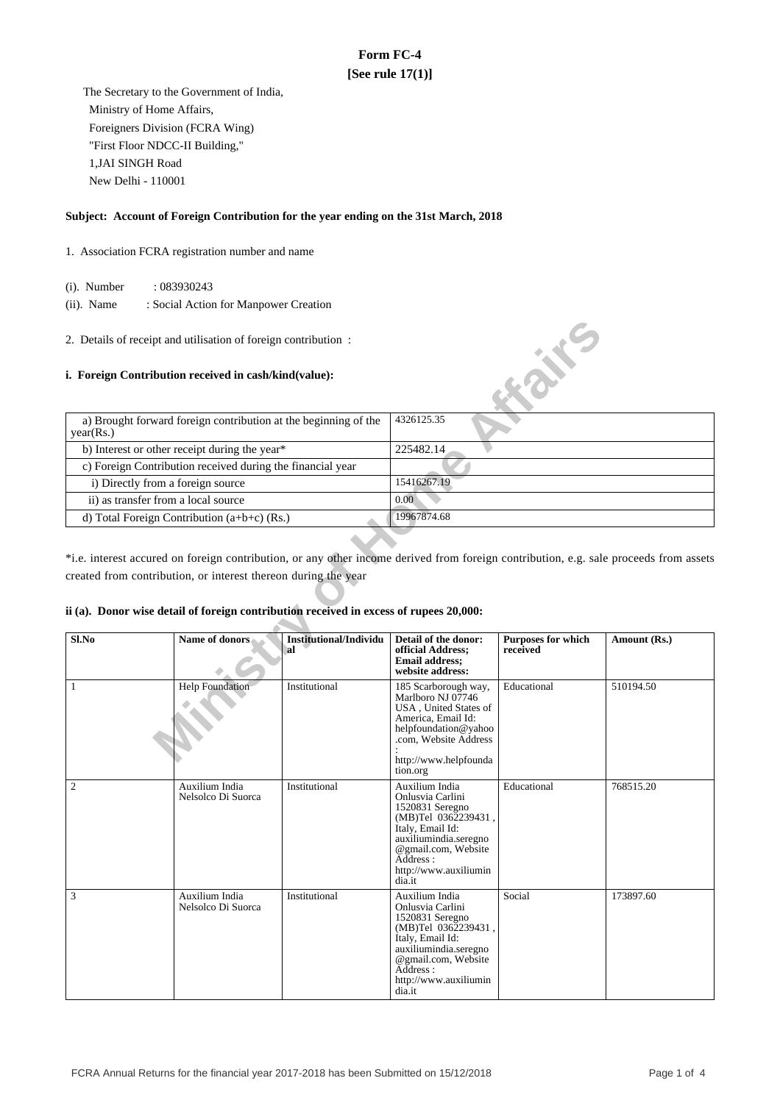# **Form FC-4 [See rule 17(1)]**

 The Secretary to the Government of India, Ministry of Home Affairs, Foreigners Division (FCRA Wing) "First Floor NDCC-II Building," 1,JAI SINGH Road New Delhi - 110001

## **Subject: Account of Foreign Contribution for the year ending on the 31st March, 2018**

- 1. Association FCRA registration number and name
	- (i). Number : 083930243
	- (ii). Name : Social Action for Manpower Creation
- 2. Details of receipt and utilisation of foreign contribution :

### **i. Foreign Contribution received in cash/kind(value):**

| a) Brought forward foreign contribution at the beginning of the<br>year(Rs.) | 4326125.35  |
|------------------------------------------------------------------------------|-------------|
| b) Interest or other receipt during the year*                                | 225482.14   |
| c) Foreign Contribution received during the financial year                   |             |
| i) Directly from a foreign source                                            | 15416267.19 |
| ii) as transfer from a local source                                          | 0.00        |
| d) Total Foreign Contribution $(a+b+c)$ (Rs.)                                | 19967874.68 |

## **ii (a). Donor wise detail of foreign contribution received in excess of rupees 20,000:**

| 2. Details of receipt and utilisation of foreign contribution:                         |                                                                 |                                     |                                                                                                                                                                                                 |                                       |                                                                                                                                       |  |
|----------------------------------------------------------------------------------------|-----------------------------------------------------------------|-------------------------------------|-------------------------------------------------------------------------------------------------------------------------------------------------------------------------------------------------|---------------------------------------|---------------------------------------------------------------------------------------------------------------------------------------|--|
|                                                                                        | i. Foreign Contribution received in cash/kind(value):           |                                     |                                                                                                                                                                                                 | E.S.K.                                |                                                                                                                                       |  |
| year(Rs.)                                                                              | a) Brought forward foreign contribution at the beginning of the |                                     | 4326125.35                                                                                                                                                                                      |                                       |                                                                                                                                       |  |
|                                                                                        | b) Interest or other receipt during the year*                   |                                     | 225482.14                                                                                                                                                                                       |                                       |                                                                                                                                       |  |
|                                                                                        | c) Foreign Contribution received during the financial year      |                                     |                                                                                                                                                                                                 |                                       |                                                                                                                                       |  |
| i) Directly from a foreign source                                                      |                                                                 |                                     | 15416267.19                                                                                                                                                                                     |                                       |                                                                                                                                       |  |
| ii) as transfer from a local source                                                    |                                                                 |                                     | 0.00                                                                                                                                                                                            |                                       |                                                                                                                                       |  |
|                                                                                        | d) Total Foreign Contribution (a+b+c) (Rs.)                     |                                     | 19967874.68                                                                                                                                                                                     |                                       |                                                                                                                                       |  |
| ii (a). Donor wise detail of foreign contribution received in excess of rupees 20,000: | created from contribution, or interest thereon during the year  |                                     |                                                                                                                                                                                                 |                                       | *i.e. interest accured on foreign contribution, or any other income derived from foreign contribution, e.g. sale proceeds from assets |  |
| Sl.No                                                                                  | Name of donors                                                  | <b>Institutional/Individu</b><br>al | Detail of the donor:<br>official Address;<br><b>Email address:</b><br>website address:                                                                                                          | <b>Purposes for which</b><br>received | Amount (Rs.)                                                                                                                          |  |
| $\mathbf{1}$                                                                           | <b>Help Foundation</b>                                          | Institutional                       | 185 Scarborough way,<br>Marlboro NJ 07746<br>USA, United States of<br>America, Email Id:<br>helpfoundation@yahoo<br>.com, Website Address<br>http://www.helpfounda<br>tion.org                  | Educational                           | 510194.50                                                                                                                             |  |
| $\overline{c}$                                                                         | Auxilium India<br>Nelsolco Di Suorca                            | Institutional                       | Auxilium India<br>Onlusvia Carlini<br>1520831 Seregno<br>(MB)Tel 0362239431,<br>Italy, Email Id:<br>auxiliumindia.seregno<br>@gmail.com, Website<br>Address:<br>http://www.auxiliumin<br>dia.it | Educational                           | 768515.20                                                                                                                             |  |
| 3                                                                                      | Auxilium India<br>Nelsolco Di Suorca                            | Institutional                       | Auxilium India<br>Onlusvia Carlini<br>1520831 Seregno<br>(MB)Tel 0362239431<br>Italy, Email Id:<br>auxiliumindia.seregno<br>@gmail.com, Website<br>Address :<br>http://www.auxiliumin<br>dia.it | Social                                | 173897.60                                                                                                                             |  |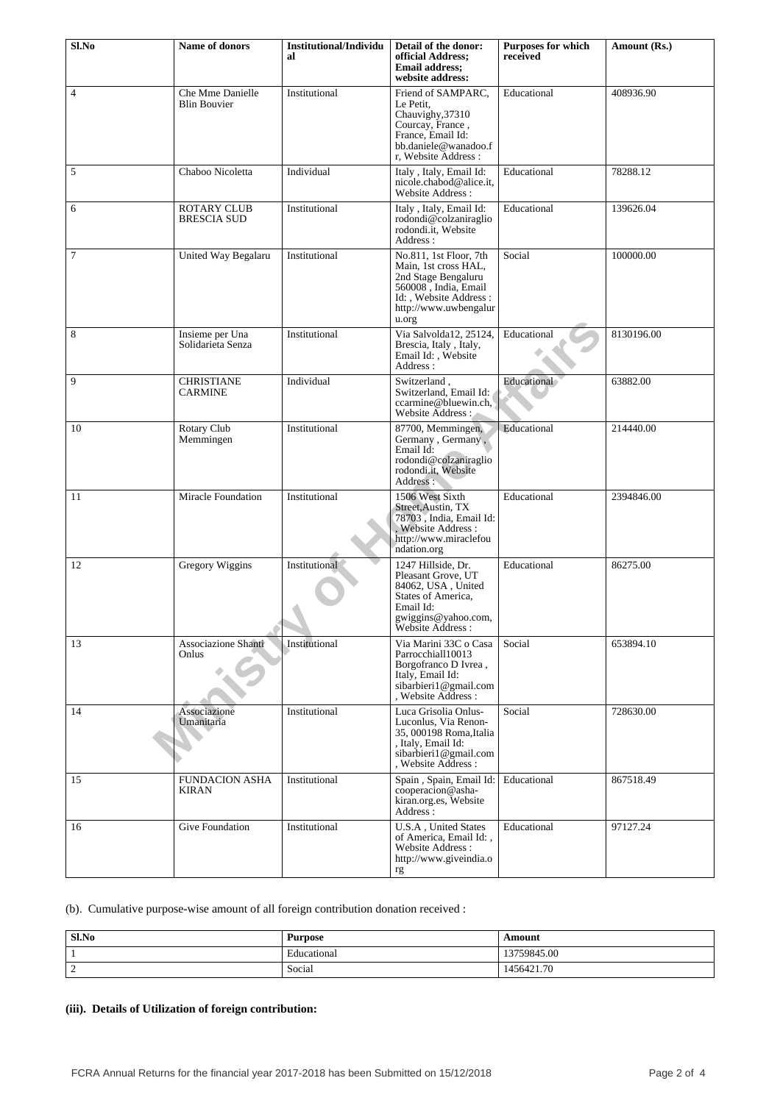| Sl.No          | <b>Name of donors</b>                    | <b>Institutional/Individu</b><br>al | Detail of the donor:<br>official Address;<br><b>Email address:</b><br>website address:                                                                    | <b>Purposes for which</b><br>received | Amount (Rs.) |
|----------------|------------------------------------------|-------------------------------------|-----------------------------------------------------------------------------------------------------------------------------------------------------------|---------------------------------------|--------------|
| $\overline{4}$ | Che Mme Danielle<br><b>Blin Bouvier</b>  | Institutional                       | Friend of SAMPARC,<br>Le Petit.<br>Chauvighy, 37310<br>Courcay, France,<br>France, Email Id:<br>bb.daniele@wanadoo.f<br>r, Website Address:               | Educational                           | 408936.90    |
| 5              | Chaboo Nicoletta                         | Individual                          | Italy, Italy, Email Id:<br>nicole.chabod@alice.it.<br>Website Address:                                                                                    | Educational                           | 78288.12     |
| 6              | <b>ROTARY CLUB</b><br><b>BRESCIA SUD</b> | Institutional                       | Italy, Italy, Email Id:<br>rodondi@colzaniraglio<br>rodondi.it, Website<br>Address:                                                                       | Educational                           | 139626.04    |
| $\overline{7}$ | United Way Begalaru                      | Institutional                       | No.811, 1st Floor, 7th<br>Main, 1st cross HAL,<br>2nd Stage Bengaluru<br>560008, India, Email<br>Id: , Website Address:<br>http://www.uwbengalur<br>u.org | Social                                | 100000.00    |
| 8              | Insieme per Una<br>Solidarieta Senza     | Institutional                       | Via Salvolda12, 25124.<br>Brescia, Italy, Italy,<br>Email Id:, Website<br>Address:                                                                        | Educational                           | 8130196.00   |
| 9              | <b>CHRISTIANE</b><br><b>CARMINE</b>      | Individual                          | Switzerland,<br>Switzerland, Email Id:<br>ccarmine@bluewin.ch,<br>Website Address :                                                                       | Educational                           | 63882.00     |
| 10             | Rotary Club<br>Memmingen                 | Institutional                       | 87700, Memmingen,<br>Germany, Germany,<br>Email Id:<br>rodondi@colzaniraglio<br>rodondi.it, Website<br>Address:                                           | Educational                           | 214440.00    |
| 11             | <b>Miracle Foundation</b>                | Institutional                       | 1506 West Sixth<br>Street, Austin, TX<br>78703, India, Email Id:<br>, Website Address :<br>http://www.miraclefou<br>ndation.org                           | Educational                           | 2394846.00   |
| 12             | Gregory Wiggins                          | Institutional                       | 1247 Hillside, Dr.<br>Pleasant Grove, UT<br>84062, USA, United<br>States of America,<br>Email Id:<br>gwiggins@yahoo.com,<br>Website Address:              | Educational                           | 86275.00     |
| 13             | Associazione Shanti<br>Onlus             | Institutional                       | Via Marini 33C o Casa<br>Parrocchial110013<br>Borgofranco D Ivrea,<br>Italy, Email Id:<br>sibarbieri1@gmail.com<br>, Website Address :                    | Social                                | 653894.10    |
| 14             | Associazione<br>Umanitaria               | Institutional                       | Luca Grisolia Onlus-<br>Luconlus, Via Renon-<br>35, 000198 Roma, Italia<br>, Italy, Email Id:<br>sibarbieri1@gmail.com<br>. Website Address :             | Social                                | 728630.00    |
| 15             | <b>FUNDACION ASHA</b><br>KIRAN           | Institutional                       | Spain, Spain, Email Id:<br>cooperacion@asha-<br>kiran.org.es, Website<br>Address:                                                                         | Educational                           | 867518.49    |
| 16             | Give Foundation                          | Institutional                       | U.S.A, United States<br>of America, Email Id:,<br>Website Address:<br>http://www.giveindia.o<br>rg                                                        | Educational                           | 97127.24     |

(b). Cumulative purpose-wise amount of all foreign contribution donation received :

| Sl.No         | <b>Purpose</b> | Amount     |
|---------------|----------------|------------|
|               | Educational    | 3759845.00 |
| $\gamma$<br>∼ | Social         | 1456421.70 |

# **(iii). Details of Utilization of foreign contribution:**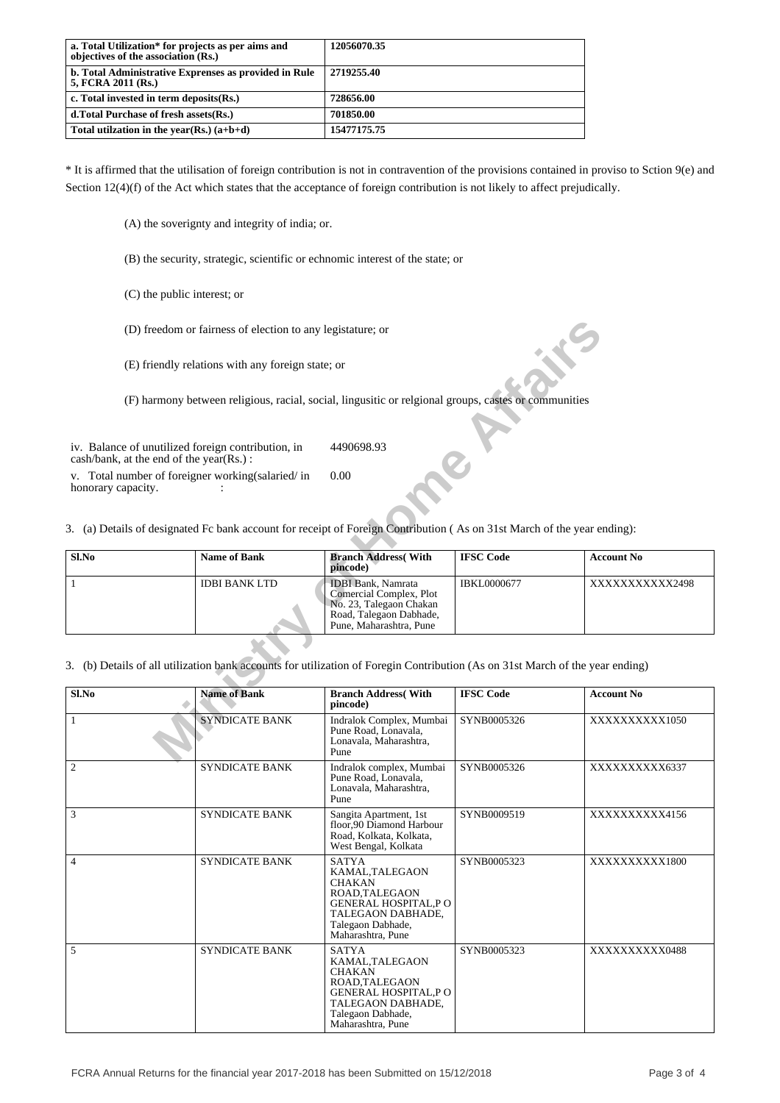| a. Total Utilization* for projects as per aims and<br>objectives of the association (Rs.) | 12056070.35 |
|-------------------------------------------------------------------------------------------|-------------|
| b. Total Administrative Exprenses as provided in Rule<br>5, FCRA 2011 (Rs.)               | 2719255.40  |
| c. Total invested in term deposits (Rs.)                                                  | 728656.00   |
| d. Total Purchase of fresh assets (Rs.)                                                   | 701850.00   |
| Total utilization in the year(Rs.) $(a+b+d)$                                              | 15477175.75 |

\* It is affirmed that the utilisation of foreign contribution is not in contravention of the provisions contained in proviso to Sction 9(e) and Section 12(4)(f) of the Act which states that the acceptance of foreign contribution is not likely to affect prejudically.

(A) the soverignty and integrity of india; or.

(B) the security, strategic, scientific or echnomic interest of the state; or

(C) the public interest; or

|                                                                                                                               | (D) freedom or fairness of election to any legistature; or                                                              |                                                                                                                                       |                    |                   |  |
|-------------------------------------------------------------------------------------------------------------------------------|-------------------------------------------------------------------------------------------------------------------------|---------------------------------------------------------------------------------------------------------------------------------------|--------------------|-------------------|--|
|                                                                                                                               | (E) friendly relations with any foreign state; or                                                                       |                                                                                                                                       |                    |                   |  |
|                                                                                                                               | (F) harmony between religious, racial, social, lingusitic or relgional groups, castes or communities                    |                                                                                                                                       |                    |                   |  |
| iv. Balance of unutilized foreign contribution, in<br>cash/bank, at the end of the year(Rs.):                                 |                                                                                                                         | 4490698.93                                                                                                                            |                    |                   |  |
| v. Total number of foreigner working (salaried/in<br>honorary capacity.                                                       |                                                                                                                         | 0.00                                                                                                                                  |                    |                   |  |
|                                                                                                                               | 3. (a) Details of designated Fc bank account for receipt of Foreign Contribution (As on 31st March of the year ending): |                                                                                                                                       |                    |                   |  |
| Sl.No                                                                                                                         | <b>Name of Bank</b>                                                                                                     | <b>Branch Address</b> (With<br>pincode)                                                                                               | <b>IFSC Code</b>   | <b>Account No</b> |  |
| 1                                                                                                                             | <b>IDBI BANK LTD</b>                                                                                                    | <b>IDBI</b> Bank, Namrata<br>Comercial Complex, Plot<br>No. 23, Talegaon Chakan<br>Road, Talegaon Dabhade,<br>Pune, Maharashtra, Pune | <b>IBKL0000677</b> | XXXXXXXXXX2498    |  |
| 3. (b) Details of all utilization bank accounts for utilization of Foregin Contribution (As on 31st March of the year ending) |                                                                                                                         |                                                                                                                                       |                    |                   |  |
| Sl.No                                                                                                                         | <b>Name of Bank</b>                                                                                                     | <b>Branch Address</b> (With<br>pincode)                                                                                               | <b>IFSC Code</b>   | <b>Account No</b> |  |
| $\mathbf{1}$                                                                                                                  | <b>SYNDICATE BANK</b>                                                                                                   | Indralok Complex, Mumbai<br>Pune Road, Lonavala.<br>Lonavala, Maharashtra,<br>Pune                                                    | SYNB0005326        | XXXXXXXXX1050     |  |
|                                                                                                                               |                                                                                                                         |                                                                                                                                       |                    |                   |  |

| Sl.No          | <b>Name of Bank</b>   | <b>Branch Address</b> (With<br>pincode)                                                                                                                        | <b>IFSC Code</b> | <b>Account No</b> |
|----------------|-----------------------|----------------------------------------------------------------------------------------------------------------------------------------------------------------|------------------|-------------------|
| 1              | <b>SYNDICATE BANK</b> | Indralok Complex, Mumbai<br>Pune Road, Lonavala,<br>Lonavala, Maharashtra,<br>Pune                                                                             | SYNB0005326      | XXXXXXXXX1050     |
| $\overline{2}$ | <b>SYNDICATE BANK</b> | Indralok complex, Mumbai<br>Pune Road, Lonavala,<br>Lonavala, Maharashtra,<br>Pune                                                                             | SYNB0005326      | XXXXXXXXXX6337    |
| 3              | <b>SYNDICATE BANK</b> | Sangita Apartment, 1st<br>floor.90 Diamond Harbour<br>Road, Kolkata, Kolkata,<br>West Bengal, Kolkata                                                          | SYNB0009519      | XXXXXXXXX4156     |
| $\overline{4}$ | <b>SYNDICATE BANK</b> | <b>SATYA</b><br>KAMAL,TALEGAON<br><b>CHAKAN</b><br>ROAD.TALEGAON<br><b>GENERAL HOSPITAL, PO</b><br>TALEGAON DABHADE.<br>Talegaon Dabhade,<br>Maharashtra, Pune | SYNB0005323      | XXXXXXXXXX1800    |
| 5              | <b>SYNDICATE BANK</b> | <b>SATYA</b><br>KAMAL,TALEGAON<br><b>CHAKAN</b><br>ROAD.TALEGAON<br><b>GENERAL HOSPITAL.P O</b><br>TALEGAON DABHADE,<br>Talegaon Dabhade,<br>Maharashtra, Pune | SYNB0005323      | XXXXXXXXXX0488    |